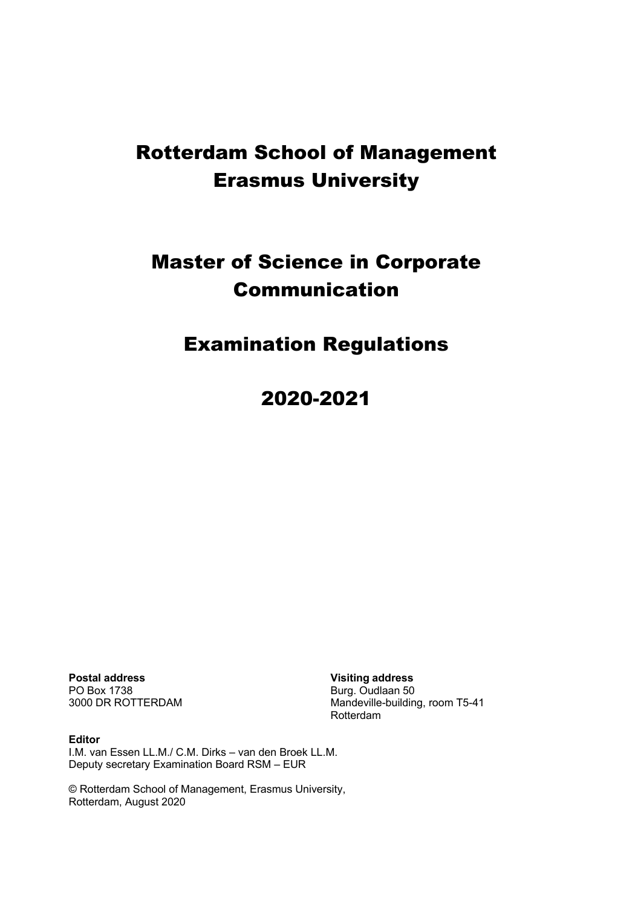# Rotterdam School of Management Erasmus University

# Master of Science in Corporate Communication

# Examination Regulations

2020-2021

**Postal address Visiting address** PO Box 1738 Burg. Oudlaan 50

Mandeville-building, room T5-41 Rotterdam

**Editor** I.M. van Essen LL.M./ C.M. Dirks – van den Broek LL.M. Deputy secretary Examination Board RSM – EUR

© Rotterdam School of Management, Erasmus University, Rotterdam, August 2020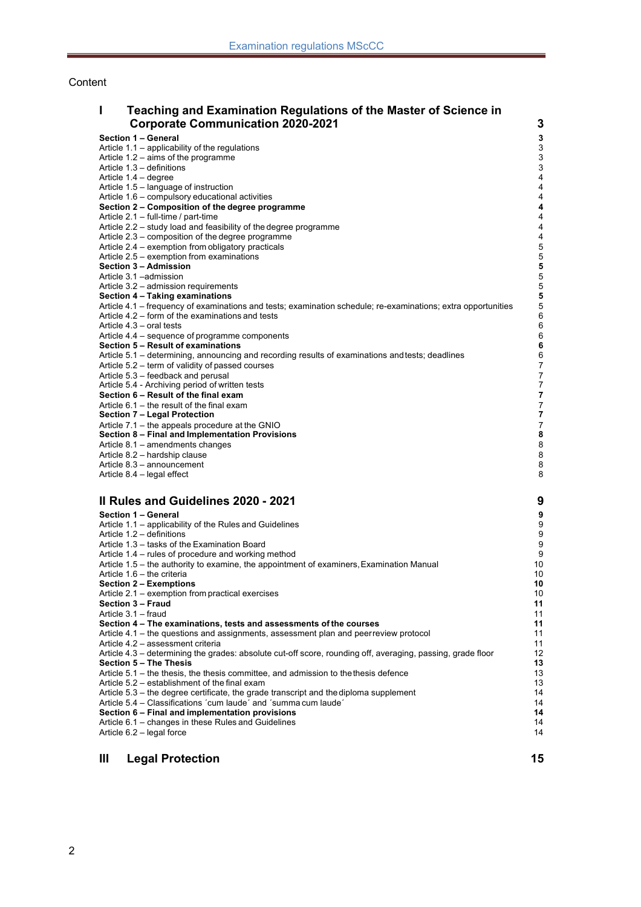#### Content

| Teaching and Examination Regulations of the Master of Science in |   |  |  |  |
|------------------------------------------------------------------|---|--|--|--|
| <b>Corporate Communication 2020-2021</b>                         | 3 |  |  |  |
| Section 1 - General                                              | 3 |  |  |  |
| Article $1.1$ – applicability of the regulations                 |   |  |  |  |
| Article $1.2 - \text{aims of the programme}$                     | 3 |  |  |  |
| Article 1.3 – definitions                                        |   |  |  |  |

- Article 1.4 degree 4<br>Article 1.5 language of instruction 4 Article 1.5 – language of instruction 4<br>Article 1.6 – compulsory educational activities 4
- Article 1.6 compulsory educational activities 4<br> **Section 2 Composition of the degree programme** 4 **Section 2 – Composition of the degree programme 4**
- Article 2.1 full-time / part-time 4
- Article 2.2 study load and feasibility of the degree programme<br>Article 2.3 composition of the degree programme
- Article  $2.3$  composition of the degree programme
- Article 2.4 exemption from obligatory practicals and the state of the state of the state of the SAT of the SAT of the SAT of the SAT of the SAT of the SAT of the SAT of the SAT of the SAT of the SAT of the SAT of the SAT
- Article 2.5 exemption from examinations **5**<br> **Section 3 Admission 5**
- **Section 3 – Admission 5**
- Article 3.1 –admission 5
- Article 3.2 admission requirements 5
- **Section 4 – Taking examinations 5**
- Article 4.1 frequency of examinations and tests; examination schedule; re-examinations; extra opportunities 5
- Article 4.2 form of the examinations and tests 6<br>Article 4.3 oral tests 6
- Article  $4.3$  oral tests
- Article 4.4 sequence of programme components<br>
Section 5 Result of examinations<br>
6
- **Section 5 – Result of examinations 6** Article 5.1 – determining, announcing and recording results of examinations and tests; deadlines 6
- Article 5.2 term of validity of passed courses 7<br>Article 5.3 feedback and perusal 7
- 
- Article 5.3 feedback and perusal 7<br>Article 5.4 Archiving period of written tests Article 5.4 - Archiving period of written tests 7<br> **Section 6 – Result of the final exam** 7
- **Section 6 – Result of the final exam 7**
- Article 6.1 the result of the final exam 7 and 10 and 10 and 10 and 10 and 10 and 10 and 10 and 10 and 10 and 10 and 10 and 10 and 10 and 10 and 10 and 10 and 10 and 10 and 10 and 10 and 10 and 10 and 10 and 10 and 10 an
- **Section 7 – Legal Protection 7**
- Article 7.1 the appeals procedure at the GNIO<br>
Section 8 Final and Implementation Provisions<br>
8
- **Section 8 – Final and Implementation Provisions 8**
- Article 8.1 amendments changes 8<br>Article 8.2 bardship clause
- Article  $8.2$  hardship clause
- Article 8.3 announcement 8<br>Article 8.4 legal effect 8 Article  $8.4$  – legal effect

# **II Rules and Guidelines 2020 - 2021 9**

- **Section 1 – General 9** Article 1.1 – applicability of the Rules and Guidelines **9 and Struck and Guidelines** 9 Article 1.2 – definitions **9**<br>Article 1.3 – tasks of the Examination Board **9 1.2 – 1.2 – 1.2 – 1.3 – 1.3 – 1.3 –** 1.3 – 1.3 – 1.2 – 1.2 – 1.2 – 1.2 – 1.2 – 1.2 – 1.2 – 1.2 – 1.2 – 1.2 – 1.2 – 1.2 – 1.2 – 1.2 – 1.2 – 1.2 Article  $1.3 -$  tasks of the Examination Board Article 1.4 – rules of procedure and working method 9 Article 1.5 – the authority to examine, the appointment of examiners, Examination Manual 10<br>Article 1.6 – the criteria 10 Article 1.6 – the criteria 10<br> **Section 2 – Exemptions 10 Section 2 – Exemptions** Article 2.1 – exemption from practical exercises 10 **Section 3 – Fraud 11** Article 3.1 – fraud 11 **Section 4 – The examinations, tests and assessments of the courses 11** Article 4.1 – the questions and assignments, assessment plan and peerreview protocol 11 Article 4.2 – assessment criteria 11 Article 4.3 – determining the grades: absolute cut-off score, rounding off, averaging, passing, grade floor 12 **Section 5 – The Thesis 13** Article 5.1 – the thesis, the thesis committee, and admission to the thesis defence<br>Article 5.2 – establishment of the final exam Article 5.2 – establishment of the final exam 13<br>Article 5.3 – the degree certificate, the grade transcript and the diploma supplement 14 Article  $5.3$  – the degree certificate, the grade transcript and the diploma supplement Article 5.4 – Classifications ´cum laude´ and ´summa cum laude´ 14<br>
Section 6 – Final and implementation provisions 14 **Section 6 – Final and implementation provisions 14**
- Article  $6.1$  changes in these Rules and Guidelines
- Article 6.2 legal force 14

#### **III Legal Protection 15**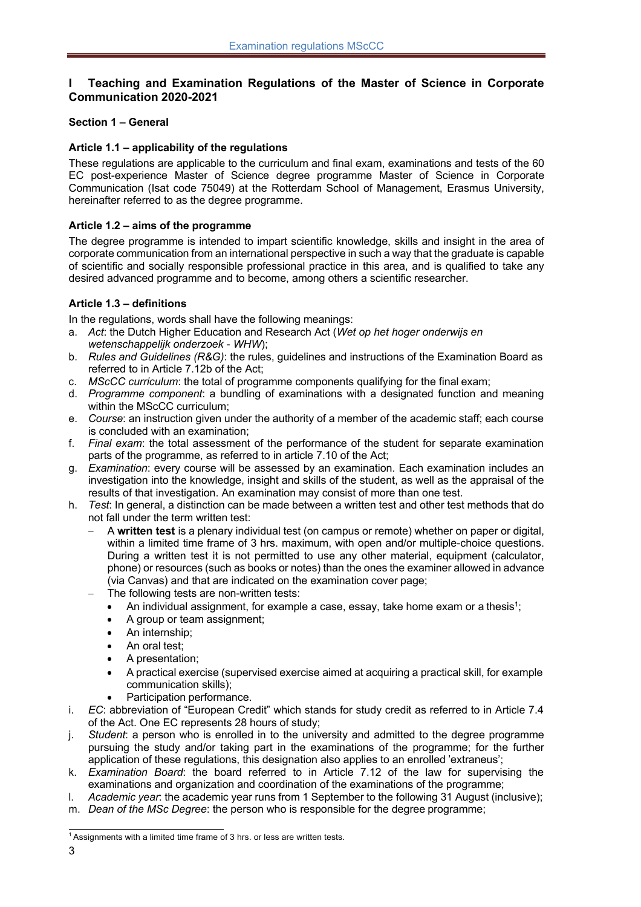# **I Teaching and Examination Regulations of the Master of Science in Corporate Communication 2020-2021**

# **Section 1 – General**

#### **Article 1.1 – applicability of the regulations**

These regulations are applicable to the curriculum and final exam, examinations and tests of the 60 EC post-experience Master of Science degree programme Master of Science in Corporate Communication (Isat code 75049) at the Rotterdam School of Management, Erasmus University, hereinafter referred to as the degree programme.

# **Article 1.2 – aims of the programme**

The degree programme is intended to impart scientific knowledge, skills and insight in the area of corporate communication from an international perspective in such a way that the graduate is capable of scientific and socially responsible professional practice in this area, and is qualified to take any desired advanced programme and to become, among others a scientific researcher.

# **Article 1.3 – definitions**

In the regulations, words shall have the following meanings:

- a. *Act*: the Dutch Higher Education and Research Act (*Wet op het hoger onderwijs en wetenschappelijk onderzoek* - *WHW*);
- b. *Rules and Guidelines (R&G)*: the rules, guidelines and instructions of the Examination Board as referred to in Article 7.12b of the Act;
- c. *MScCC curriculum*: the total of programme components qualifying for the final exam;
- d. *Programme component*: a bundling of examinations with a designated function and meaning within the MScCC curriculum;
- e. *Course*: an instruction given under the authority of a member of the academic staff; each course is concluded with an examination;
- f. *Final exam*: the total assessment of the performance of the student for separate examination parts of the programme, as referred to in article 7.10 of the Act;
- g. *Examination*: every course will be assessed by an examination. Each examination includes an investigation into the knowledge, insight and skills of the student, as well as the appraisal of the results of that investigation. An examination may consist of more than one test.
- h. *Test*: In general, a distinction can be made between a written test and other test methods that do not fall under the term written test:
	- A **written test** is a plenary individual test (on campus or remote) whether on paper or digital, within a limited time frame of 3 hrs. maximum, with open and/or multiple-choice questions. During a written test it is not permitted to use any other material, equipment (calculator, phone) or resources (such as books or notes) than the ones the examiner allowed in advance (via Canvas) and that are indicated on the examination cover page;
	- The following tests are non-written tests:
		- An individual assignment, for example a case, essay, take home exam or a thesis<sup>1</sup>;
		- A group or team assignment;
		- An internship:
		- An oral test:
		- A presentation;
		- A practical exercise (supervised exercise aimed at acquiring a practical skill, for example communication skills);
		- Participation performance.
- i. *EC*: abbreviation of "European Credit" which stands for study credit as referred to in Article 7.4 of the Act. One EC represents 28 hours of study;
- j. *Student*: a person who is enrolled in to the university and admitted to the degree programme pursuing the study and/or taking part in the examinations of the programme; for the further application of these regulations, this designation also applies to an enrolled 'extraneus';
- k. *Examination Board*: the board referred to in Article 7.12 of the law for supervising the examinations and organization and coordination of the examinations of the programme;
- l. *Academic year*: the academic year runs from 1 September to the following 31 August (inclusive);
- m. *Dean of the MSc Degree*: the person who is responsible for the degree programme;

 $1$  Assignments with a limited time frame of 3 hrs. or less are written tests.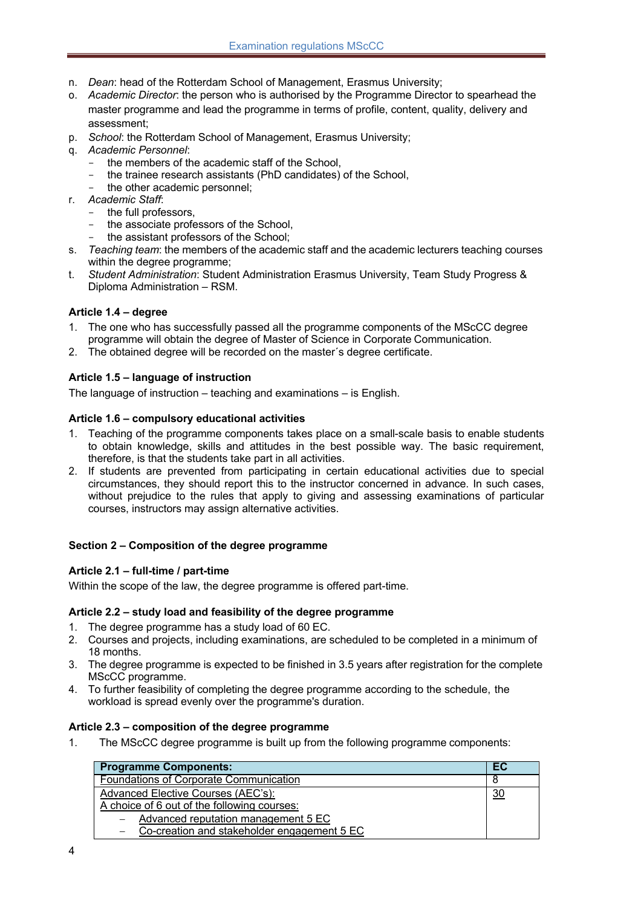- n. *Dean*: head of the Rotterdam School of Management, Erasmus University;
- o. *Academic Director*: the person who is authorised by the Programme Director to spearhead the master programme and lead the programme in terms of profile, content, quality, delivery and assessment;
- p. *School*: the Rotterdam School of Management, Erasmus University;
- q. *Academic Personnel*:
	- the members of the academic staff of the School,
	- the trainee research assistants (PhD candidates) of the School,
	- the other academic personnel:
- r. *Academic Staff*:
	- the full professors,
	- the associate professors of the School,
	- the assistant professors of the School;
- s. *Teaching team*: the members of the academic staff and the academic lecturers teaching courses within the degree programme;
- t. *Student Administration*: Student Administration Erasmus University, Team Study Progress & Diploma Administration – RSM.

#### **Article 1.4 – degree**

- 1. The one who has successfully passed all the programme components of the MScCC degree programme will obtain the degree of Master of Science in Corporate Communication.
- 2. The obtained degree will be recorded on the master´s degree certificate.

#### **Article 1.5 – language of instruction**

The language of instruction – teaching and examinations – is English.

#### **Article 1.6 – compulsory educational activities**

- 1. Teaching of the programme components takes place on a small-scale basis to enable students to obtain knowledge, skills and attitudes in the best possible way. The basic requirement, therefore, is that the students take part in all activities.
- 2. If students are prevented from participating in certain educational activities due to special circumstances, they should report this to the instructor concerned in advance. In such cases, without prejudice to the rules that apply to giving and assessing examinations of particular courses, instructors may assign alternative activities.

#### **Section 2 – Composition of the degree programme**

#### **Article 2.1 – full-time / part-time**

Within the scope of the law, the degree programme is offered part-time.

#### **Article 2.2 – study load and feasibility of the degree programme**

- 1. The degree programme has a study load of 60 EC.
- 2. Courses and projects, including examinations, are scheduled to be completed in a minimum of 18 months.
- 3. The degree programme is expected to be finished in 3.5 years after registration for the complete MScCC programme.
- 4. To further feasibility of completing the degree programme according to the schedule, the workload is spread evenly over the programme's duration.

#### **Article 2.3 – composition of the degree programme**

1. The MScCC degree programme is built up from the following programme components:

| <b>Programme Components:</b>                  | EC             |
|-----------------------------------------------|----------------|
| <b>Foundations of Corporate Communication</b> |                |
| Advanced Elective Courses (AEC's):            | $\frac{30}{2}$ |
| A choice of 6 out of the following courses:   |                |
| Advanced reputation management 5 EC           |                |
| Co-creation and stakeholder engagement 5 EC   |                |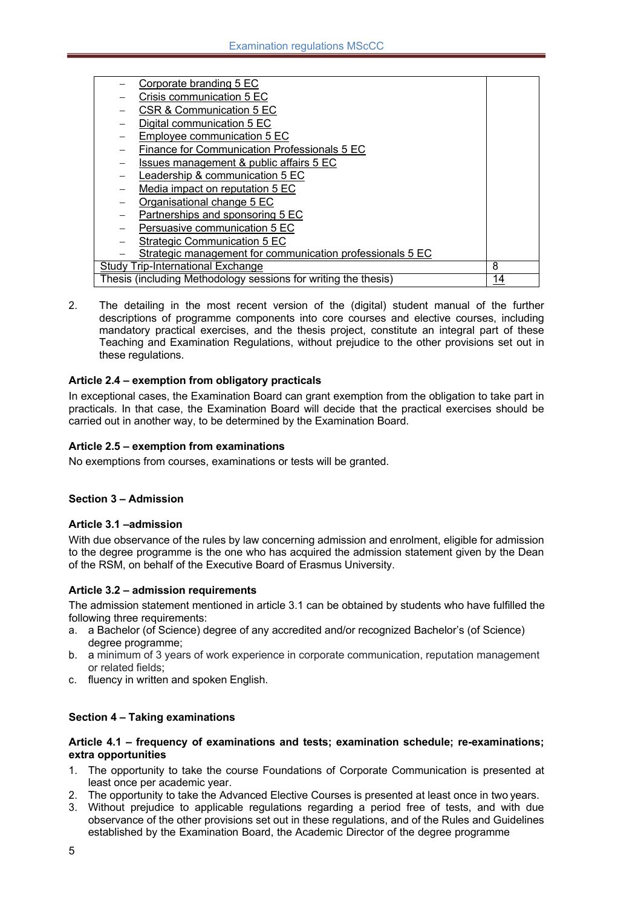| Corporate branding 5 EC                                        |    |
|----------------------------------------------------------------|----|
| Crisis communication 5 EC                                      |    |
| CSR & Communication 5 EC                                       |    |
| Digital communication 5 EC                                     |    |
| Employee communication 5 EC                                    |    |
| Finance for Communication Professionals 5 EC                   |    |
| Issues management & public affairs 5 EC                        |    |
| Leadership & communication 5 EC                                |    |
| Media impact on reputation 5 EC                                |    |
| Organisational change 5 EC                                     |    |
| Partnerships and sponsoring 5 EC                               |    |
| Persuasive communication 5 EC                                  |    |
| <b>Strategic Communication 5 EC</b>                            |    |
| Strategic management for communication professionals 5 EC      |    |
| Study Trip-International Exchange                              | 8  |
| Thesis (including Methodology sessions for writing the thesis) | 14 |

2. The detailing in the most recent version of the (digital) student manual of the further descriptions of programme components into core courses and elective courses, including mandatory practical exercises, and the thesis project, constitute an integral part of these Teaching and Examination Regulations, without prejudice to the other provisions set out in these regulations.

#### **Article 2.4 – exemption from obligatory practicals**

In exceptional cases, the Examination Board can grant exemption from the obligation to take part in practicals. In that case, the Examination Board will decide that the practical exercises should be carried out in another way, to be determined by the Examination Board.

#### **Article 2.5 – exemption from examinations**

No exemptions from courses, examinations or tests will be granted.

#### **Section 3 – Admission**

#### **Article 3.1 –admission**

With due observance of the rules by law concerning admission and enrolment, eligible for admission to the degree programme is the one who has acquired the admission statement given by the Dean of the RSM, on behalf of the Executive Board of Erasmus University.

#### **Article 3.2 – admission requirements**

The admission statement mentioned in article 3.1 can be obtained by students who have fulfilled the following three requirements:

- a. a Bachelor (of Science) degree of any accredited and/or recognized Bachelor's (of Science) degree programme;
- b. a minimum of 3 years of work experience in corporate communication, reputation management or related fields;
- c. fluency in written and spoken English.

#### **Section 4 – Taking examinations**

#### **Article 4.1 – frequency of examinations and tests; examination schedule; re-examinations; extra opportunities**

- 1. The opportunity to take the course Foundations of Corporate Communication is presented at least once per academic year.
- 2. The opportunity to take the Advanced Elective Courses is presented at least once in two years.
- 3. Without prejudice to applicable regulations regarding a period free of tests, and with due observance of the other provisions set out in these regulations, and of the Rules and Guidelines established by the Examination Board, the Academic Director of the degree programme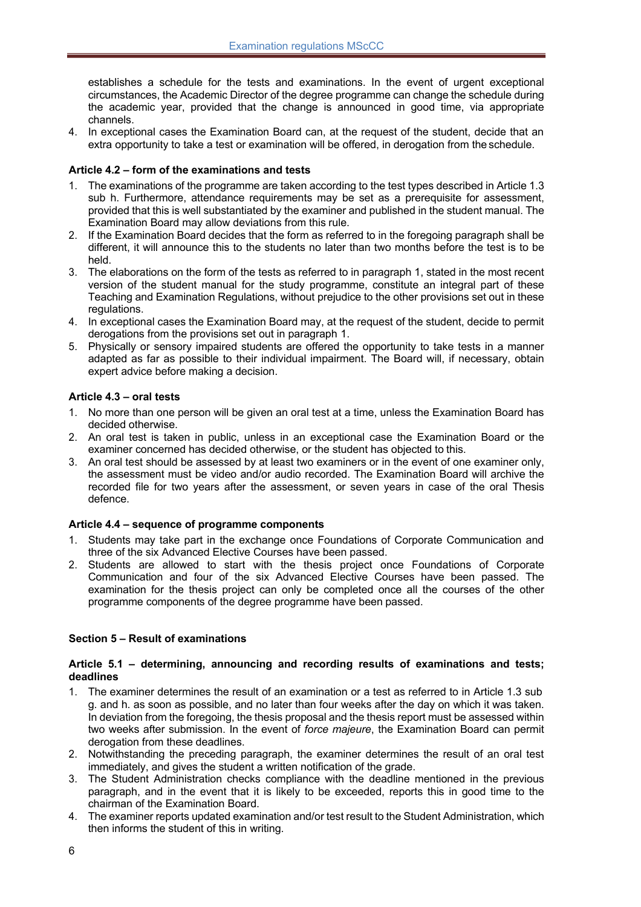establishes a schedule for the tests and examinations. In the event of urgent exceptional circumstances, the Academic Director of the degree programme can change the schedule during the academic year, provided that the change is announced in good time, via appropriate channels.

4. In exceptional cases the Examination Board can, at the request of the student, decide that an extra opportunity to take a test or examination will be offered, in derogation from the schedule.

# **Article 4.2 – form of the examinations and tests**

- 1. The examinations of the programme are taken according to the test types described in Article 1.3 sub h. Furthermore, attendance requirements may be set as a prerequisite for assessment, provided that this is well substantiated by the examiner and published in the student manual. The Examination Board may allow deviations from this rule.
- 2. If the Examination Board decides that the form as referred to in the foregoing paragraph shall be different, it will announce this to the students no later than two months before the test is to be held.
- 3. The elaborations on the form of the tests as referred to in paragraph 1, stated in the most recent version of the student manual for the study programme, constitute an integral part of these Teaching and Examination Regulations, without prejudice to the other provisions set out in these regulations.
- 4. In exceptional cases the Examination Board may, at the request of the student, decide to permit derogations from the provisions set out in paragraph 1.
- 5. Physically or sensory impaired students are offered the opportunity to take tests in a manner adapted as far as possible to their individual impairment. The Board will, if necessary, obtain expert advice before making a decision.

# **Article 4.3 – oral tests**

- 1. No more than one person will be given an oral test at a time, unless the Examination Board has decided otherwise.
- 2. An oral test is taken in public, unless in an exceptional case the Examination Board or the examiner concerned has decided otherwise, or the student has objected to this.
- 3. An oral test should be assessed by at least two examiners or in the event of one examiner only, the assessment must be video and/or audio recorded. The Examination Board will archive the recorded file for two years after the assessment, or seven years in case of the oral Thesis defence.

#### **Article 4.4 – sequence of programme components**

- 1. Students may take part in the exchange once Foundations of Corporate Communication and three of the six Advanced Elective Courses have been passed.
- 2. Students are allowed to start with the thesis project once Foundations of Corporate Communication and four of the six Advanced Elective Courses have been passed. The examination for the thesis project can only be completed once all the courses of the other programme components of the degree programme have been passed.

#### **Section 5 – Result of examinations**

#### **Article 5.1 – determining, announcing and recording results of examinations and tests; deadlines**

- 1. The examiner determines the result of an examination or a test as referred to in Article 1.3 sub g. and h. as soon as possible, and no later than four weeks after the day on which it was taken. In deviation from the foregoing, the thesis proposal and the thesis report must be assessed within two weeks after submission. In the event of *force majeure*, the Examination Board can permit derogation from these deadlines.
- 2. Notwithstanding the preceding paragraph, the examiner determines the result of an oral test immediately, and gives the student a written notification of the grade.
- 3. The Student Administration checks compliance with the deadline mentioned in the previous paragraph, and in the event that it is likely to be exceeded, reports this in good time to the chairman of the Examination Board.
- 4. The examiner reports updated examination and/or test result to the Student Administration, which then informs the student of this in writing.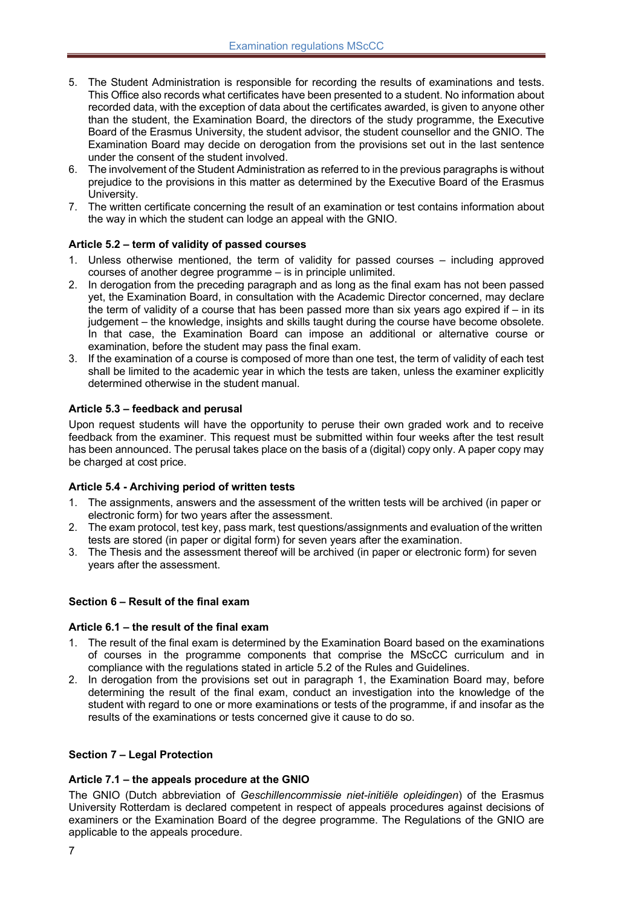- 5. The Student Administration is responsible for recording the results of examinations and tests. This Office also records what certificates have been presented to a student. No information about recorded data, with the exception of data about the certificates awarded, is given to anyone other than the student, the Examination Board, the directors of the study programme, the Executive Board of the Erasmus University, the student advisor, the student counsellor and the GNIO. The Examination Board may decide on derogation from the provisions set out in the last sentence under the consent of the student involved.
- 6. The involvement of the Student Administration as referred to in the previous paragraphs is without prejudice to the provisions in this matter as determined by the Executive Board of the Erasmus University.
- 7. The written certificate concerning the result of an examination or test contains information about the way in which the student can lodge an appeal with the GNIO.

# **Article 5.2 – term of validity of passed courses**

- 1. Unless otherwise mentioned, the term of validity for passed courses including approved courses of another degree programme – is in principle unlimited.
- 2. In derogation from the preceding paragraph and as long as the final exam has not been passed yet, the Examination Board, in consultation with the Academic Director concerned, may declare the term of validity of a course that has been passed more than six years ago expired if – in its judgement – the knowledge, insights and skills taught during the course have become obsolete. In that case, the Examination Board can impose an additional or alternative course or examination, before the student may pass the final exam.
- 3. If the examination of a course is composed of more than one test, the term of validity of each test shall be limited to the academic year in which the tests are taken, unless the examiner explicitly determined otherwise in the student manual.

# **Article 5.3 – feedback and perusal**

Upon request students will have the opportunity to peruse their own graded work and to receive feedback from the examiner. This request must be submitted within four weeks after the test result has been announced. The perusal takes place on the basis of a (digital) copy only. A paper copy may be charged at cost price.

#### **Article 5.4 - Archiving period of written tests**

- 1. The assignments, answers and the assessment of the written tests will be archived (in paper or electronic form) for two years after the assessment.
- 2. The exam protocol, test key, pass mark, test questions/assignments and evaluation of the written tests are stored (in paper or digital form) for seven years after the examination.
- 3. The Thesis and the assessment thereof will be archived (in paper or electronic form) for seven years after the assessment.

#### **Section 6 – Result of the final exam**

#### **Article 6.1 – the result of the final exam**

- 1. The result of the final exam is determined by the Examination Board based on the examinations of courses in the programme components that comprise the MScCC curriculum and in compliance with the regulations stated in article 5.2 of the Rules and Guidelines.
- 2. In derogation from the provisions set out in paragraph 1, the Examination Board may, before determining the result of the final exam, conduct an investigation into the knowledge of the student with regard to one or more examinations or tests of the programme, if and insofar as the results of the examinations or tests concerned give it cause to do so.

#### **Section 7 – Legal Protection**

#### **Article 7.1 – the appeals procedure at the GNIO**

The GNIO (Dutch abbreviation of *Geschillencommissie niet-initiële opleidingen*) of the Erasmus University Rotterdam is declared competent in respect of appeals procedures against decisions of examiners or the Examination Board of the degree programme. The Regulations of the GNIO are applicable to the appeals procedure.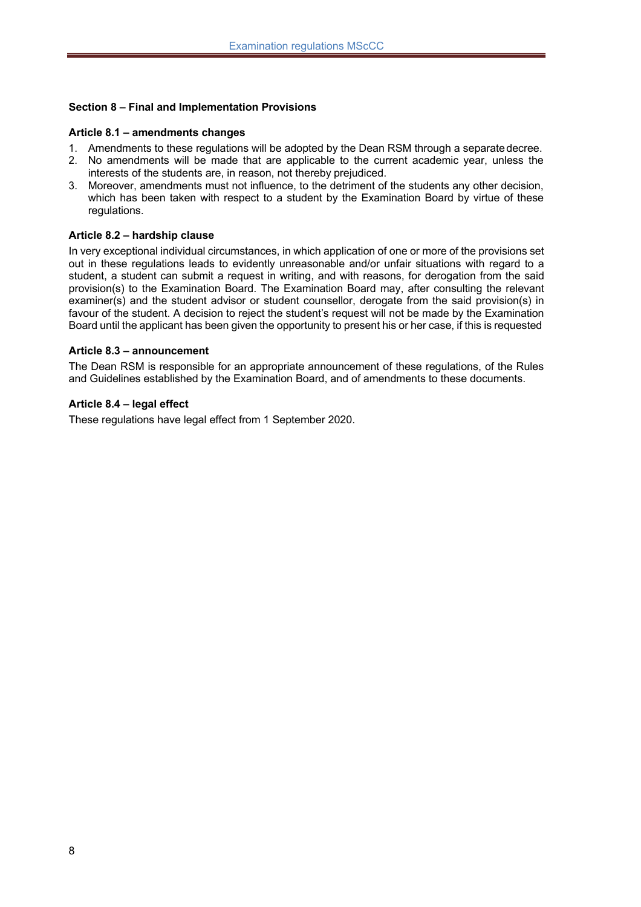# **Section 8 – Final and Implementation Provisions**

#### **Article 8.1 – amendments changes**

- 1. Amendments to these regulations will be adopted by the Dean RSM through a separatedecree.
- 2. No amendments will be made that are applicable to the current academic year, unless the interests of the students are, in reason, not thereby prejudiced.
- 3. Moreover, amendments must not influence, to the detriment of the students any other decision, which has been taken with respect to a student by the Examination Board by virtue of these regulations.

#### **Article 8.2 – hardship clause**

In very exceptional individual circumstances, in which application of one or more of the provisions set out in these regulations leads to evidently unreasonable and/or unfair situations with regard to a student, a student can submit a request in writing, and with reasons, for derogation from the said provision(s) to the Examination Board. The Examination Board may, after consulting the relevant examiner(s) and the student advisor or student counsellor, derogate from the said provision(s) in favour of the student. A decision to reject the student's request will not be made by the Examination Board until the applicant has been given the opportunity to present his or her case, if this is requested

#### **Article 8.3 – announcement**

The Dean RSM is responsible for an appropriate announcement of these regulations, of the Rules and Guidelines established by the Examination Board, and of amendments to these documents.

#### **Article 8.4 – legal effect**

These regulations have legal effect from 1 September 2020.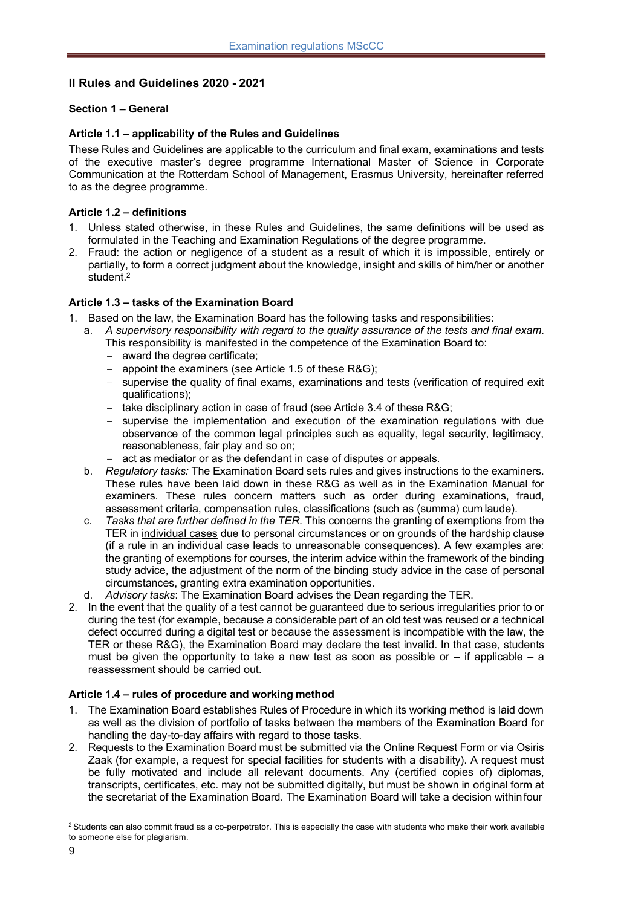# **II Rules and Guidelines 2020 - 2021**

# **Section 1 – General**

#### **Article 1.1 – applicability of the Rules and Guidelines**

These Rules and Guidelines are applicable to the curriculum and final exam, examinations and tests of the executive master's degree programme International Master of Science in Corporate Communication at the Rotterdam School of Management, Erasmus University, hereinafter referred to as the degree programme.

# **Article 1.2 – definitions**

- 1. Unless stated otherwise, in these Rules and Guidelines, the same definitions will be used as formulated in the Teaching and Examination Regulations of the degree programme.
- 2. Fraud: the action or negligence of a student as a result of which it is impossible, entirely or partially, to form a correct judgment about the knowledge, insight and skills of him/her or another student.2

# **Article 1.3 – tasks of the Examination Board**

- 1. Based on the law, the Examination Board has the following tasks and responsibilities:
	- a. *A supervisory responsibility with regard to the quality assurance of the tests and final exam*. This responsibility is manifested in the competence of the Examination Board to:
		- award the degree certificate:
		- appoint the examiners (see Article 1.5 of these R&G);
		- supervise the quality of final exams, examinations and tests (verification of required exit qualifications);
		- take disciplinary action in case of fraud (see Article 3.4 of these R&G:
		- supervise the implementation and execution of the examination regulations with due observance of the common legal principles such as equality, legal security, legitimacy, reasonableness, fair play and so on;
		- act as mediator or as the defendant in case of disputes or appeals.
	- b. *Regulatory tasks:* The Examination Board sets rules and gives instructions to the examiners. These rules have been laid down in these R&G as well as in the Examination Manual for examiners. These rules concern matters such as order during examinations, fraud, assessment criteria, compensation rules, classifications (such as (summa) cum laude).
	- c. *Tasks that are further defined in the TER*. This concerns the granting of exemptions from the TER in individual cases due to personal circumstances or on grounds of the hardship clause (if a rule in an individual case leads to unreasonable consequences). A few examples are: the granting of exemptions for courses, the interim advice within the framework of the binding study advice, the adjustment of the norm of the binding study advice in the case of personal circumstances, granting extra examination opportunities.
	- d. *Advisory tasks*: The Examination Board advises the Dean regarding the TER.
- 2. In the event that the quality of a test cannot be guaranteed due to serious irregularities prior to or during the test (for example, because a considerable part of an old test was reused or a technical defect occurred during a digital test or because the assessment is incompatible with the law, the TER or these R&G), the Examination Board may declare the test invalid. In that case, students must be given the opportunity to take a new test as soon as possible or  $-$  if applicable  $-$  a reassessment should be carried out.

# **Article 1.4 – rules of procedure and working method**

- 1. The Examination Board establishes Rules of Procedure in which its working method is laid down as well as the division of portfolio of tasks between the members of the Examination Board for handling the day-to-day affairs with regard to those tasks.
- 2. Requests to the Examination Board must be submitted via the Online Request Form or via Osiris Zaak (for example, a request for special facilities for students with a disability). A request must be fully motivated and include all relevant documents. Any (certified copies of) diplomas, transcripts, certificates, etc. may not be submitted digitally, but must be shown in original form at the secretariat of the Examination Board. The Examination Board will take a decision withinfour

 $2$  Students can also commit fraud as a co-perpetrator. This is especially the case with students who make their work available to someone else for plagiarism.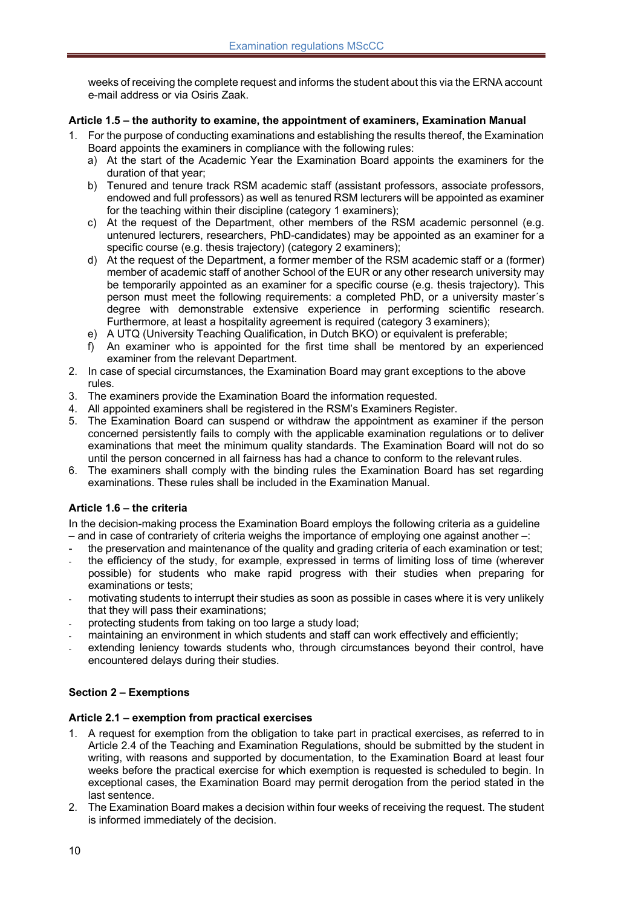weeks of receiving the complete request and informs the student about this via the ERNA account e-mail address or via Osiris Zaak.

# **Article 1.5 – the authority to examine, the appointment of examiners, Examination Manual**

- 1. For the purpose of conducting examinations and establishing the results thereof, the Examination Board appoints the examiners in compliance with the following rules:
	- a) At the start of the Academic Year the Examination Board appoints the examiners for the duration of that year;
	- b) Tenured and tenure track RSM academic staff (assistant professors, associate professors, endowed and full professors) as well as tenured RSM lecturers will be appointed as examiner for the teaching within their discipline (category 1 examiners);
	- c) At the request of the Department, other members of the RSM academic personnel (e.g. untenured lecturers, researchers, PhD-candidates) may be appointed as an examiner for a specific course (e.g. thesis trajectory) (category 2 examiners);
	- d) At the request of the Department, a former member of the RSM academic staff or a (former) member of academic staff of another School of the EUR or any other research university may be temporarily appointed as an examiner for a specific course (e.g. thesis trajectory). This person must meet the following requirements: a completed PhD, or a university master´s degree with demonstrable extensive experience in performing scientific research. Furthermore, at least a hospitality agreement is required (category 3 examiners);
	- e) A UTQ (University Teaching Qualification, in Dutch BKO) or equivalent is preferable;
	- f) An examiner who is appointed for the first time shall be mentored by an experienced examiner from the relevant Department.
- 2. In case of special circumstances, the Examination Board may grant exceptions to the above rules.
- 3. The examiners provide the Examination Board the information requested.
- 4. All appointed examiners shall be registered in the RSM's Examiners Register.
- 5. The Examination Board can suspend or withdraw the appointment as examiner if the person concerned persistently fails to comply with the applicable examination regulations or to deliver examinations that meet the minimum quality standards. The Examination Board will not do so until the person concerned in all fairness has had a chance to conform to the relevantrules.
- 6. The examiners shall comply with the binding rules the Examination Board has set regarding examinations. These rules shall be included in the Examination Manual.

#### **Article 1.6 – the criteria**

In the decision-making process the Examination Board employs the following criteria as a guideline – and in case of contrariety of criteria weighs the importance of employing one against another –:

- the preservation and maintenance of the quality and grading criteria of each examination or test;
- the efficiency of the study, for example, expressed in terms of limiting loss of time (wherever possible) for students who make rapid progress with their studies when preparing for examinations or tests;
- motivating students to interrupt their studies as soon as possible in cases where it is very unlikely that they will pass their examinations;
- protecting students from taking on too large a study load;
- maintaining an environment in which students and staff can work effectively and efficiently;
- extending leniency towards students who, through circumstances beyond their control, have encountered delays during their studies.

# **Section 2 – Exemptions**

#### **Article 2.1 – exemption from practical exercises**

- 1. A request for exemption from the obligation to take part in practical exercises, as referred to in Article 2.4 of the Teaching and Examination Regulations, should be submitted by the student in writing, with reasons and supported by documentation, to the Examination Board at least four weeks before the practical exercise for which exemption is requested is scheduled to begin. In exceptional cases, the Examination Board may permit derogation from the period stated in the last sentence.
- 2. The Examination Board makes a decision within four weeks of receiving the request. The student is informed immediately of the decision.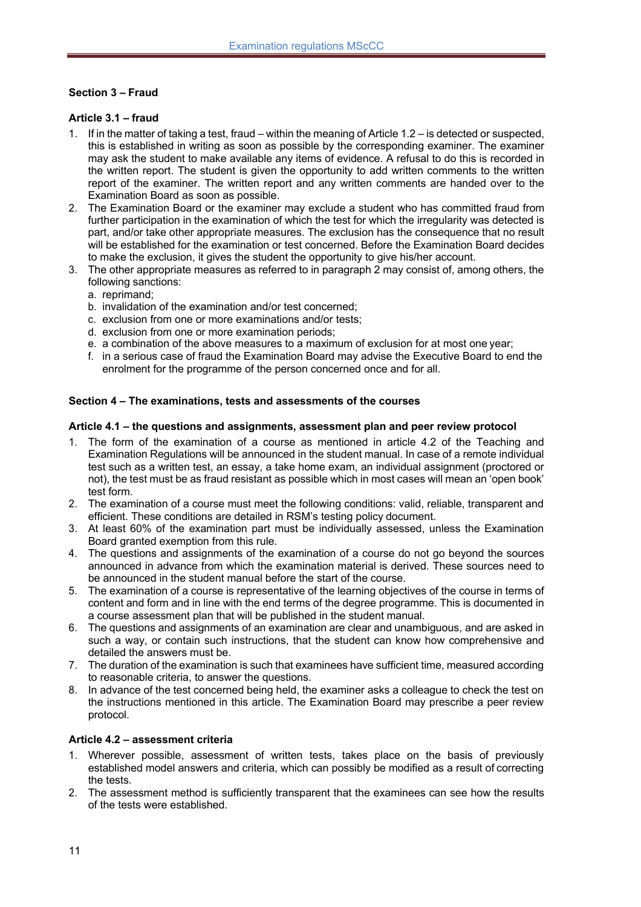# **Section 3 – Fraud**

#### **Article 3.1 – fraud**

- 1. If in the matter of taking a test, fraud within the meaning of Article 1.2 is detected or suspected, this is established in writing as soon as possible by the corresponding examiner. The examiner may ask the student to make available any items of evidence. A refusal to do this is recorded in the written report. The student is given the opportunity to add written comments to the written report of the examiner. The written report and any written comments are handed over to the Examination Board as soon as possible.
- 2. The Examination Board or the examiner may exclude a student who has committed fraud from further participation in the examination of which the test for which the irregularity was detected is part, and/or take other appropriate measures. The exclusion has the consequence that no result will be established for the examination or test concerned. Before the Examination Board decides to make the exclusion, it gives the student the opportunity to give his/her account.
- 3. The other appropriate measures as referred to in paragraph 2 may consist of, among others, the following sanctions:
	- a. reprimand;
	- b. invalidation of the examination and/or test concerned;
	- c. exclusion from one or more examinations and/or tests;
	- d. exclusion from one or more examination periods;
	- e. a combination of the above measures to a maximum of exclusion for at most one year;
	- f. in a serious case of fraud the Examination Board may advise the Executive Board to end the enrolment for the programme of the person concerned once and for all.

#### **Section 4 – The examinations, tests and assessments of the courses**

#### **Article 4.1 – the questions and assignments, assessment plan and peer review protocol**

- 1. The form of the examination of a course as mentioned in article 4.2 of the Teaching and Examination Regulations will be announced in the student manual. In case of a remote individual test such as a written test, an essay, a take home exam, an individual assignment (proctored or not), the test must be as fraud resistant as possible which in most cases will mean an 'open book' test form.
- 2. The examination of a course must meet the following conditions: valid, reliable, transparent and efficient. These conditions are detailed in RSM's testing policy document.
- 3. At least 60% of the examination part must be individually assessed, unless the Examination Board granted exemption from this rule.
- 4. The questions and assignments of the examination of a course do not go beyond the sources announced in advance from which the examination material is derived. These sources need to be announced in the student manual before the start of the course.
- 5. The examination of a course is representative of the learning objectives of the course in terms of content and form and in line with the end terms of the degree programme. This is documented in a course assessment plan that will be published in the student manual.
- 6. The questions and assignments of an examination are clear and unambiguous, and are asked in such a way, or contain such instructions, that the student can know how comprehensive and detailed the answers must be.
- 7. The duration of the examination is such that examinees have sufficient time, measured according to reasonable criteria, to answer the questions.
- 8. In advance of the test concerned being held, the examiner asks a colleague to check the test on the instructions mentioned in this article. The Examination Board may prescribe a peer review protocol.

#### **Article 4.2 – assessment criteria**

- 1. Wherever possible, assessment of written tests, takes place on the basis of previously established model answers and criteria, which can possibly be modified as a result of correcting the tests.
- 2. The assessment method is sufficiently transparent that the examinees can see how the results of the tests were established.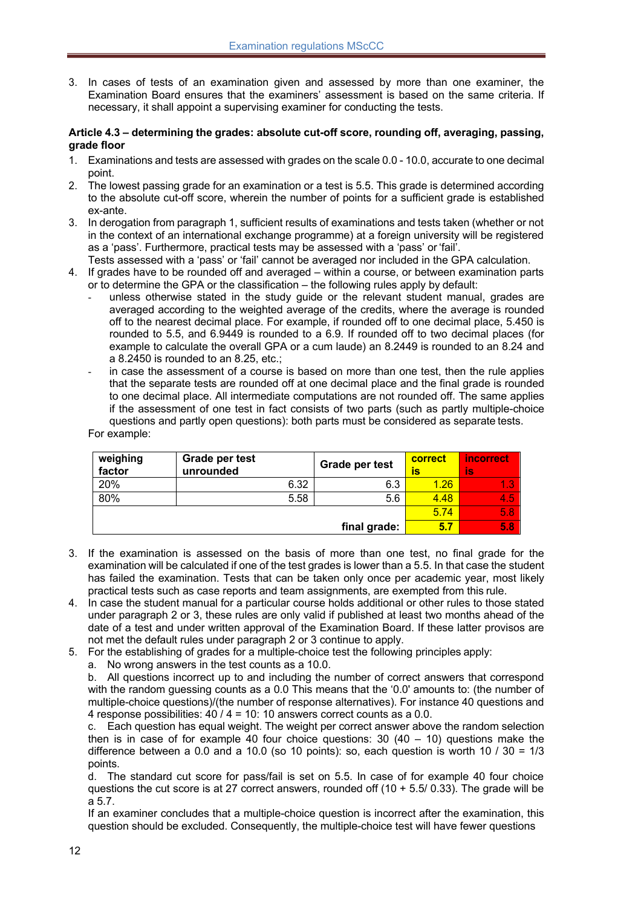3. In cases of tests of an examination given and assessed by more than one examiner, the Examination Board ensures that the examiners' assessment is based on the same criteria. If necessary, it shall appoint a supervising examiner for conducting the tests.

#### **Article 4.3 – determining the grades: absolute cut-off score, rounding off, averaging, passing, grade floor**

- 1. Examinations and tests are assessed with grades on the scale 0.0 10.0, accurate to one decimal point.
- 2. The lowest passing grade for an examination or a test is 5.5. This grade is determined according to the absolute cut-off score, wherein the number of points for a sufficient grade is established ex-ante.
- 3. In derogation from paragraph 1, sufficient results of examinations and tests taken (whether or not in the context of an international exchange programme) at a foreign university will be registered as a 'pass'. Furthermore, practical tests may be assessed with a 'pass' or 'fail'.
- Tests assessed with a 'pass' or 'fail' cannot be averaged nor included in the GPA calculation.
- 4. If grades have to be rounded off and averaged within a course, or between examination parts or to determine the GPA or the classification – the following rules apply by default:
	- unless otherwise stated in the study guide or the relevant student manual, grades are averaged according to the weighted average of the credits, where the average is rounded off to the nearest decimal place. For example, if rounded off to one decimal place, 5.450 is rounded to 5.5, and 6.9449 is rounded to a 6.9. If rounded off to two decimal places (for example to calculate the overall GPA or a cum laude) an 8.2449 is rounded to an 8.24 and a 8.2450 is rounded to an 8.25, etc.;
	- in case the assessment of a course is based on more than one test, then the rule applies that the separate tests are rounded off at one decimal place and the final grade is rounded to one decimal place. All intermediate computations are not rounded off. The same applies if the assessment of one test in fact consists of two parts (such as partly multiple-choice questions and partly open questions): both parts must be considered as separate tests.

For example:

| weighing<br>factor | Grade per test<br>unrounded | Grade per test | correct<br>IS | <i>incorrect</i><br>İs |
|--------------------|-----------------------------|----------------|---------------|------------------------|
| 20%                | 6.32                        | 6.3            | 1.26          |                        |
| 80%                | 5.58                        | 5.6            | 4.48          | 4.5                    |
|                    |                             |                | 5.74          | 5.8 <sub>1</sub>       |
|                    |                             | final grade:   | 5.7           | 5.8 <sub>1</sub>       |

- 3. If the examination is assessed on the basis of more than one test, no final grade for the examination will be calculated if one of the test grades is lower than a 5.5. In that case the student has failed the examination. Tests that can be taken only once per academic year, most likely practical tests such as case reports and team assignments, are exempted from this rule.
- 4. In case the student manual for a particular course holds additional or other rules to those stated under paragraph 2 or 3, these rules are only valid if published at least two months ahead of the date of a test and under written approval of the Examination Board. If these latter provisos are not met the default rules under paragraph 2 or 3 continue to apply.
- 5. For the establishing of grades for a multiple-choice test the following principles apply:
	- a. No wrong answers in the test counts as a 10.0.

b. All questions incorrect up to and including the number of correct answers that correspond with the random guessing counts as a 0.0 This means that the '0.0' amounts to: (the number of multiple-choice questions)/(the number of response alternatives). For instance 40 questions and 4 response possibilities: 40 / 4 = 10: 10 answers correct counts as a 0.0.

c. Each question has equal weight. The weight per correct answer above the random selection then is in case of for example 40 four choice questions:  $30 (40 - 10)$  questions make the difference between a 0.0 and a 10.0 (so 10 points): so, each question is worth 10 /  $30 = 1/3$ points.

d. The standard cut score for pass/fail is set on 5.5. In case of for example 40 four choice questions the cut score is at 27 correct answers, rounded off  $(10 + 5.5/ 0.33)$ . The grade will be a 5.7.

If an examiner concludes that a multiple-choice question is incorrect after the examination, this question should be excluded. Consequently, the multiple-choice test will have fewer questions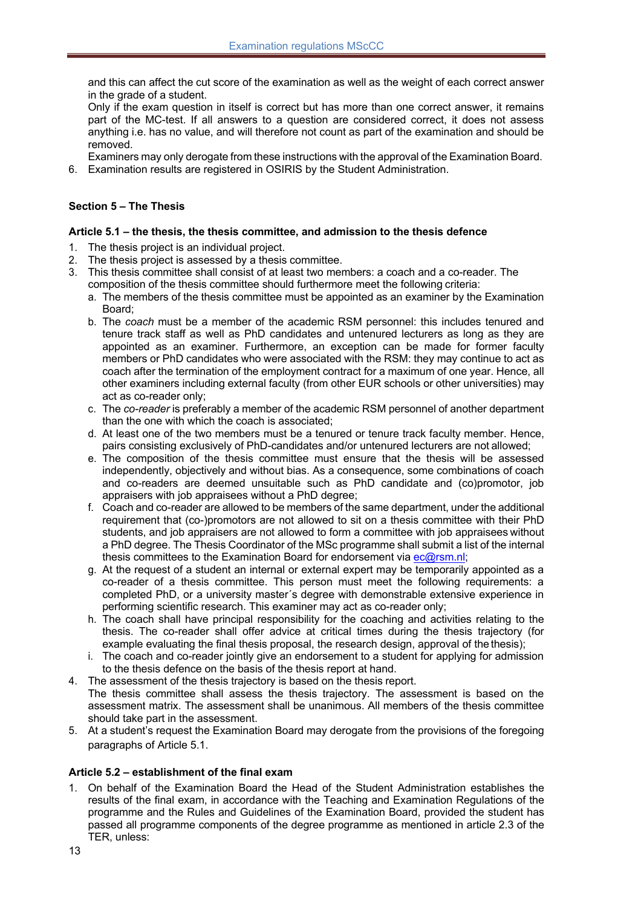and this can affect the cut score of the examination as well as the weight of each correct answer in the grade of a student.

Only if the exam question in itself is correct but has more than one correct answer, it remains part of the MC-test. If all answers to a question are considered correct, it does not assess anything i.e. has no value, and will therefore not count as part of the examination and should be removed.

Examiners may only derogate from these instructions with the approval of the Examination Board.

6. Examination results are registered in OSIRIS by the Student Administration.

# **Section 5 – The Thesis**

### **Article 5.1 – the thesis, the thesis committee, and admission to the thesis defence**

- 1. The thesis project is an individual project.
- 2. The thesis project is assessed by a thesis committee.
- 3. This thesis committee shall consist of at least two members: a coach and a co-reader. The composition of the thesis committee should furthermore meet the following criteria:
	- a. The members of the thesis committee must be appointed as an examiner by the Examination Board;
	- b. The *coach* must be a member of the academic RSM personnel: this includes tenured and tenure track staff as well as PhD candidates and untenured lecturers as long as they are appointed as an examiner. Furthermore, an exception can be made for former faculty members or PhD candidates who were associated with the RSM: they may continue to act as coach after the termination of the employment contract for a maximum of one year. Hence, all other examiners including external faculty (from other EUR schools or other universities) may act as co-reader only;
	- c. The *co-reader* is preferably a member of the academic RSM personnel of another department than the one with which the coach is associated;
	- d. At least one of the two members must be a tenured or tenure track faculty member. Hence, pairs consisting exclusively of PhD-candidates and/or untenured lecturers are not allowed;
	- e. The composition of the thesis committee must ensure that the thesis will be assessed independently, objectively and without bias. As a consequence, some combinations of coach and co-readers are deemed unsuitable such as PhD candidate and (co)promotor, job appraisers with job appraisees without a PhD degree;
	- f. Coach and co-reader are allowed to be members of the same department, under the additional requirement that (co-)promotors are not allowed to sit on a thesis committee with their PhD students, and job appraisers are not allowed to form a committee with job appraisees without a PhD degree. The Thesis Coordinator of the MSc programme shall submit a list of the internal thesis committees to the Examination Board for endorsement via ec@rsm.nl;
	- g. At the request of a student an internal or external expert may be temporarily appointed as a co-reader of a thesis committee. This person must meet the following requirements: a completed PhD, or a university master´s degree with demonstrable extensive experience in performing scientific research. This examiner may act as co-reader only;
	- h. The coach shall have principal responsibility for the coaching and activities relating to the thesis. The co-reader shall offer advice at critical times during the thesis trajectory (for example evaluating the final thesis proposal, the research design, approval of the thesis);
	- i. The coach and co-reader jointly give an endorsement to a student for applying for admission to the thesis defence on the basis of the thesis report at hand.
- 4. The assessment of the thesis trajectory is based on the thesis report. The thesis committee shall assess the thesis trajectory. The assessment is based on the assessment matrix. The assessment shall be unanimous. All members of the thesis committee should take part in the assessment.
- 5. At a student's request the Examination Board may derogate from the provisions of the foregoing paragraphs of Article 5.1.

#### **Article 5.2 – establishment of the final exam**

1. On behalf of the Examination Board the Head of the Student Administration establishes the results of the final exam, in accordance with the Teaching and Examination Regulations of the programme and the Rules and Guidelines of the Examination Board, provided the student has passed all programme components of the degree programme as mentioned in article 2.3 of the TER, unless: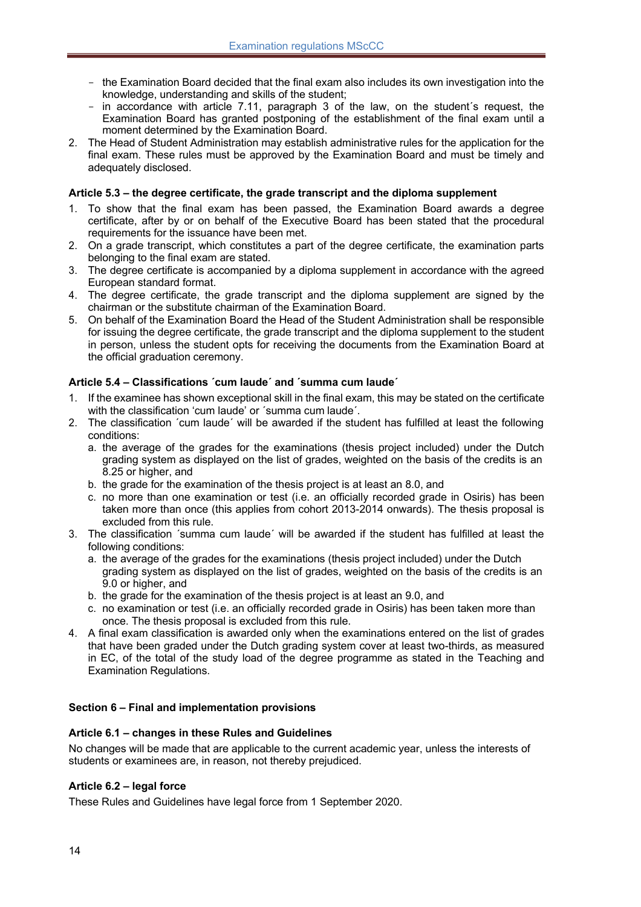- the Examination Board decided that the final exam also includes its own investigation into the knowledge, understanding and skills of the student;
- in accordance with article 7.11, paragraph 3 of the law, on the student´s request, the Examination Board has granted postponing of the establishment of the final exam until a moment determined by the Examination Board.
- 2. The Head of Student Administration may establish administrative rules for the application for the final exam. These rules must be approved by the Examination Board and must be timely and adequately disclosed.

#### **Article 5.3 – the degree certificate, the grade transcript and the diploma supplement**

- 1. To show that the final exam has been passed, the Examination Board awards a degree certificate, after by or on behalf of the Executive Board has been stated that the procedural requirements for the issuance have been met.
- 2. On a grade transcript, which constitutes a part of the degree certificate, the examination parts belonging to the final exam are stated.
- 3. The degree certificate is accompanied by a diploma supplement in accordance with the agreed European standard format.
- 4. The degree certificate, the grade transcript and the diploma supplement are signed by the chairman or the substitute chairman of the Examination Board.
- 5. On behalf of the Examination Board the Head of the Student Administration shall be responsible for issuing the degree certificate, the grade transcript and the diploma supplement to the student in person, unless the student opts for receiving the documents from the Examination Board at the official graduation ceremony.

#### **Article 5.4 – Classifications ´cum laude´ and ´summa cum laude´**

- 1. If the examinee has shown exceptional skill in the final exam, this may be stated on the certificate with the classification 'cum laude' or ´summa cum laude´.
- 2. The classification ´cum laude´ will be awarded if the student has fulfilled at least the following conditions:
	- a. the average of the grades for the examinations (thesis project included) under the Dutch grading system as displayed on the list of grades, weighted on the basis of the credits is an 8.25 or higher, and
	- b. the grade for the examination of the thesis project is at least an 8.0, and
	- c. no more than one examination or test (i.e. an officially recorded grade in Osiris) has been taken more than once (this applies from cohort 2013-2014 onwards). The thesis proposal is excluded from this rule.
- 3. The classification ´summa cum laude´ will be awarded if the student has fulfilled at least the following conditions:
	- a. the average of the grades for the examinations (thesis project included) under the Dutch grading system as displayed on the list of grades, weighted on the basis of the credits is an 9.0 or higher, and
	- b. the grade for the examination of the thesis project is at least an 9.0, and
	- c. no examination or test (i.e. an officially recorded grade in Osiris) has been taken more than once. The thesis proposal is excluded from this rule.
- 4. A final exam classification is awarded only when the examinations entered on the list of grades that have been graded under the Dutch grading system cover at least two-thirds, as measured in EC, of the total of the study load of the degree programme as stated in the Teaching and Examination Regulations.

#### **Section 6 – Final and implementation provisions**

#### **Article 6.1 – changes in these Rules and Guidelines**

No changes will be made that are applicable to the current academic year, unless the interests of students or examinees are, in reason, not thereby prejudiced.

#### **Article 6.2 – legal force**

These Rules and Guidelines have legal force from 1 September 2020.